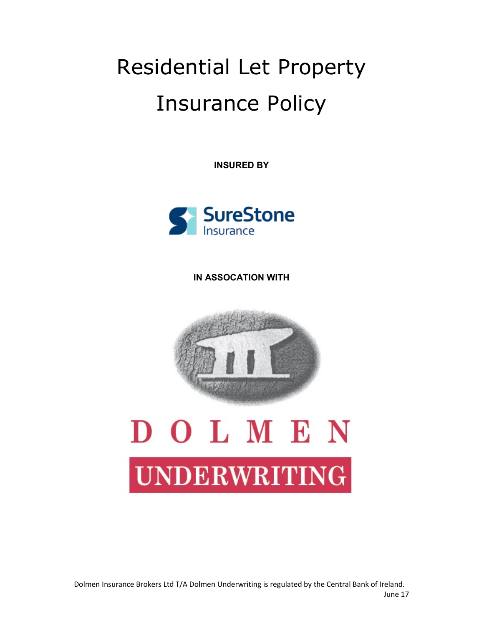## Residential Let Property Insurance Policy

INSURED BY



IN ASSOCATION WITH



# DOLMEN **UNDERWRITING**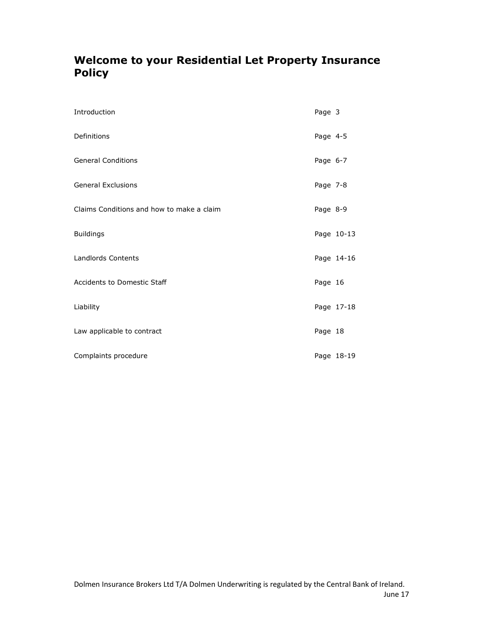## Welcome to your Residential Let Property Insurance **Policy**

| Introduction                              | Page 3   |            |
|-------------------------------------------|----------|------------|
| Definitions                               | Page 4-5 |            |
| <b>General Conditions</b>                 | Page 6-7 |            |
| <b>General Exclusions</b>                 | Page 7-8 |            |
| Claims Conditions and how to make a claim | Page 8-9 |            |
| <b>Buildings</b>                          |          | Page 10-13 |
| Landlords Contents                        |          | Page 14-16 |
| <b>Accidents to Domestic Staff</b>        | Page 16  |            |
| Liability                                 |          | Page 17-18 |
| Law applicable to contract                | Page 18  |            |
| Complaints procedure                      |          | Page 18-19 |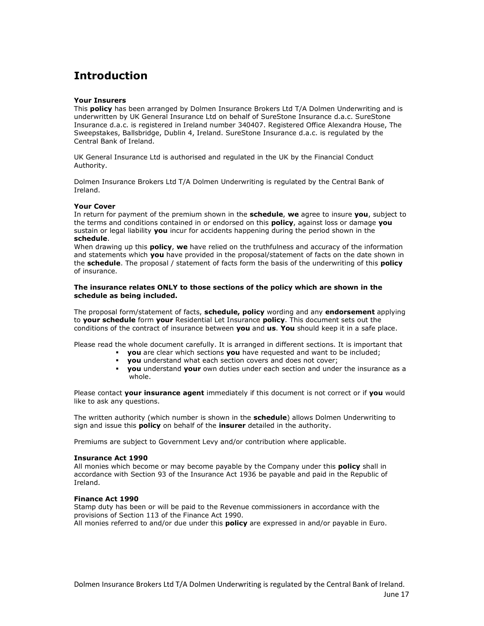## Introduction

#### Your Insurers

This **policy** has been arranged by Dolmen Insurance Brokers Ltd T/A Dolmen Underwriting and is underwritten by UK General Insurance Ltd on behalf of SureStone Insurance d.a.c. SureStone Insurance d.a.c. is registered in Ireland number 340407. Registered Office Alexandra House, The Sweepstakes, Ballsbridge, Dublin 4, Ireland. SureStone Insurance d.a.c. is regulated by the Central Bank of Ireland.

UK General Insurance Ltd is authorised and regulated in the UK by the Financial Conduct Authority.

Dolmen Insurance Brokers Ltd T/A Dolmen Underwriting is regulated by the Central Bank of Ireland.

#### Your Cover

In return for payment of the premium shown in the **schedule, we** agree to insure you, subject to the terms and conditions contained in or endorsed on this **policy**, against loss or damage you sustain or legal liability you incur for accidents happening during the period shown in the schedule.

When drawing up this **policy, we** have relied on the truthfulness and accuracy of the information and statements which you have provided in the proposal/statement of facts on the date shown in the **schedule**. The proposal / statement of facts form the basis of the underwriting of this **policy** of insurance.

#### The insurance relates ONLY to those sections of the policy which are shown in the schedule as being included.

The proposal form/statement of facts, schedule, policy wording and any endorsement applying to your schedule form your Residential Let Insurance policy. This document sets out the conditions of the contract of insurance between you and us. You should keep it in a safe place.

Please read the whole document carefully. It is arranged in different sections. It is important that

- **you** are clear which sections you have requested and want to be included;
- **vou** understand what each section covers and does not cover;
- **vou** understand your own duties under each section and under the insurance as a whole.

Please contact your insurance agent immediately if this document is not correct or if you would like to ask any questions.

The written authority (which number is shown in the schedule) allows Dolmen Underwriting to sign and issue this **policy** on behalf of the **insurer** detailed in the authority.

Premiums are subject to Government Levy and/or contribution where applicable.

#### Insurance Act 1990

All monies which become or may become payable by the Company under this **policy** shall in accordance with Section 93 of the Insurance Act 1936 be payable and paid in the Republic of Ireland.

#### Finance Act 1990

Stamp duty has been or will be paid to the Revenue commissioners in accordance with the provisions of Section 113 of the Finance Act 1990. All monies referred to and/or due under this **policy** are expressed in and/or payable in Euro.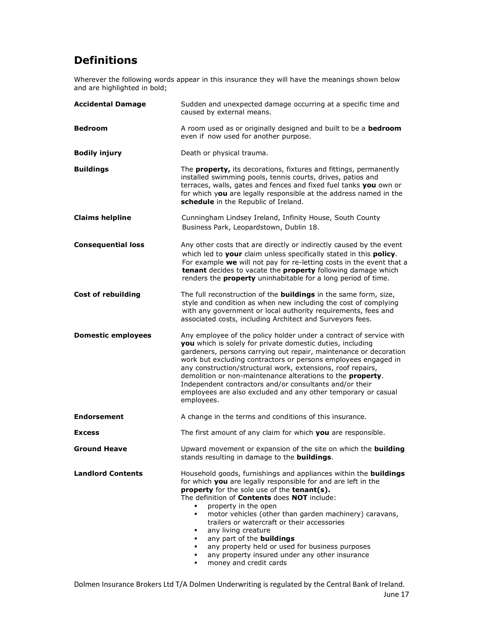## Definitions

Wherever the following words appear in this insurance they will have the meanings shown below and are highlighted in bold;

| <b>Accidental Damage</b>  | Sudden and unexpected damage occurring at a specific time and<br>caused by external means.                                                                                                                                                                                                                                                                                                                                                                                                                                                                                                                   |
|---------------------------|--------------------------------------------------------------------------------------------------------------------------------------------------------------------------------------------------------------------------------------------------------------------------------------------------------------------------------------------------------------------------------------------------------------------------------------------------------------------------------------------------------------------------------------------------------------------------------------------------------------|
| <b>Bedroom</b>            | A room used as or originally designed and built to be a <b>bedroom</b><br>even if now used for another purpose.                                                                                                                                                                                                                                                                                                                                                                                                                                                                                              |
| <b>Bodily injury</b>      | Death or physical trauma.                                                                                                                                                                                                                                                                                                                                                                                                                                                                                                                                                                                    |
| <b>Buildings</b>          | The <b>property,</b> its decorations, fixtures and fittings, permanently<br>installed swimming pools, tennis courts, drives, patios and<br>terraces, walls, gates and fences and fixed fuel tanks you own or<br>for which you are legally responsible at the address named in the<br>schedule in the Republic of Ireland.                                                                                                                                                                                                                                                                                    |
| <b>Claims helpline</b>    | Cunningham Lindsey Ireland, Infinity House, South County<br>Business Park, Leopardstown, Dublin 18.                                                                                                                                                                                                                                                                                                                                                                                                                                                                                                          |
| <b>Consequential loss</b> | Any other costs that are directly or indirectly caused by the event<br>which led to your claim unless specifically stated in this policy.<br>For example we will not pay for re-letting costs in the event that a<br>tenant decides to vacate the property following damage which<br>renders the <b>property</b> uninhabitable for a long period of time.                                                                                                                                                                                                                                                    |
| <b>Cost of rebuilding</b> | The full reconstruction of the <b>buildings</b> in the same form, size,<br>style and condition as when new including the cost of complying<br>with any government or local authority requirements, fees and<br>associated costs, including Architect and Surveyors fees.                                                                                                                                                                                                                                                                                                                                     |
| <b>Domestic employees</b> | Any employee of the policy holder under a contract of service with<br>you which is solely for private domestic duties, including<br>gardeners, persons carrying out repair, maintenance or decoration<br>work but excluding contractors or persons employees engaged in<br>any construction/structural work, extensions, roof repairs,<br>demolition or non-maintenance alterations to the <b>property</b> .<br>Independent contractors and/or consultants and/or their<br>employees are also excluded and any other temporary or casual<br>employees.                                                       |
| <b>Endorsement</b>        | A change in the terms and conditions of this insurance.                                                                                                                                                                                                                                                                                                                                                                                                                                                                                                                                                      |
| <b>Excess</b>             | The first amount of any claim for which you are responsible.                                                                                                                                                                                                                                                                                                                                                                                                                                                                                                                                                 |
| <b>Ground Heave</b>       | Upward movement or expansion of the site on which the <b>building</b><br>stands resulting in damage to the <b>buildings</b> .                                                                                                                                                                                                                                                                                                                                                                                                                                                                                |
| <b>Landlord Contents</b>  | Household goods, furnishings and appliances within the buildings<br>for which you are legally responsible for and are left in the<br>property for the sole use of the tenant(s).<br>The definition of Contents does NOT include:<br>property in the open<br>$\blacksquare$<br>motor vehicles (other than garden machinery) caravans,<br>٠<br>trailers or watercraft or their accessories<br>any living creature<br>٠<br>any part of the <b>buildings</b><br>٠.<br>any property held or used for business purposes<br>٠<br>any property insured under any other insurance<br>٠<br>money and credit cards<br>٠ |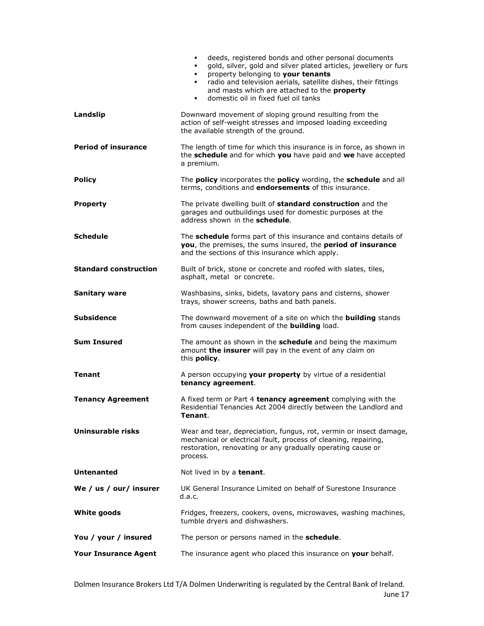|                              | deeds, registered bonds and other personal documents<br>$\blacksquare$<br>gold, silver, gold and silver plated articles, jewellery or furs<br>٠.<br>property belonging to your tenants<br>٠<br>radio and television aerials, satellite dishes, their fittings<br>٠<br>and masts which are attached to the property<br>domestic oil in fixed fuel oil tanks<br>$\blacksquare$ |
|------------------------------|------------------------------------------------------------------------------------------------------------------------------------------------------------------------------------------------------------------------------------------------------------------------------------------------------------------------------------------------------------------------------|
| Landslip                     | Downward movement of sloping ground resulting from the<br>action of self-weight stresses and imposed loading exceeding<br>the available strength of the ground.                                                                                                                                                                                                              |
| <b>Period of insurance</b>   | The length of time for which this insurance is in force, as shown in<br>the schedule and for which you have paid and we have accepted<br>a premium.                                                                                                                                                                                                                          |
| <b>Policy</b>                | The policy incorporates the policy wording, the schedule and all<br>terms, conditions and endorsements of this insurance.                                                                                                                                                                                                                                                    |
| <b>Property</b>              | The private dwelling built of <b>standard construction</b> and the<br>garages and outbuildings used for domestic purposes at the<br>address shown in the schedule.                                                                                                                                                                                                           |
| <b>Schedule</b>              | The schedule forms part of this insurance and contains details of<br>you, the premises, the sums insured, the period of insurance<br>and the sections of this insurance which apply.                                                                                                                                                                                         |
| <b>Standard construction</b> | Built of brick, stone or concrete and roofed with slates, tiles,<br>asphalt, metal or concrete.                                                                                                                                                                                                                                                                              |
| <b>Sanitary ware</b>         | Washbasins, sinks, bidets, lavatory pans and cisterns, shower<br>trays, shower screens, baths and bath panels.                                                                                                                                                                                                                                                               |
| <b>Subsidence</b>            | The downward movement of a site on which the <b>building</b> stands<br>from causes independent of the <b>building</b> load.                                                                                                                                                                                                                                                  |
| <b>Sum Insured</b>           | The amount as shown in the <b>schedule</b> and being the maximum<br>amount the insurer will pay in the event of any claim on<br>this <b>policy</b> .                                                                                                                                                                                                                         |
| <b>Tenant</b>                | A person occupying your property by virtue of a residential<br>tenancy agreement.                                                                                                                                                                                                                                                                                            |
| <b>Tenancy Agreement</b>     | A fixed term or Part 4 tenancy agreement complying with the<br>Residential Tenancies Act 2004 directly between the Landlord and<br>Tenant.                                                                                                                                                                                                                                   |
| Uninsurable risks            | Wear and tear, depreciation, fungus, rot, vermin or insect damage,<br>mechanical or electrical fault, process of cleaning, repairing,<br>restoration, renovating or any gradually operating cause or<br>process.                                                                                                                                                             |
| <b>Untenanted</b>            | Not lived in by a tenant.                                                                                                                                                                                                                                                                                                                                                    |
| We / us / our/ insurer       | UK General Insurance Limited on behalf of Surestone Insurance<br>d.a.c.                                                                                                                                                                                                                                                                                                      |
| <b>White goods</b>           | Fridges, freezers, cookers, ovens, microwaves, washing machines,<br>tumble dryers and dishwashers.                                                                                                                                                                                                                                                                           |
| You / your / insured         | The person or persons named in the <b>schedule</b> .                                                                                                                                                                                                                                                                                                                         |
| <b>Your Insurance Agent</b>  | The insurance agent who placed this insurance on your behalf.                                                                                                                                                                                                                                                                                                                |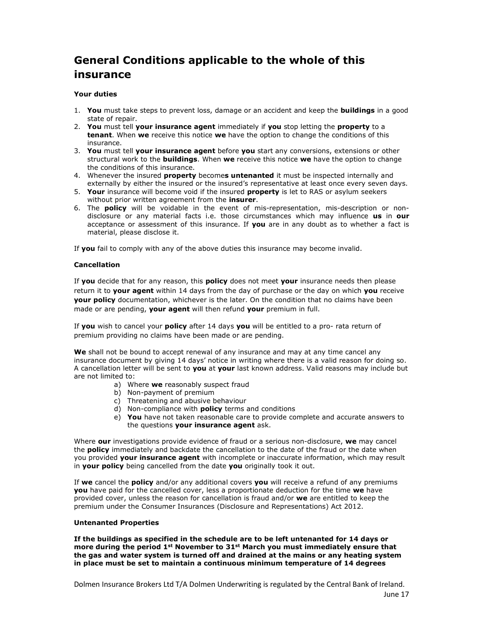## General Conditions applicable to the whole of this insurance

#### Your duties

- 1. You must take steps to prevent loss, damage or an accident and keep the **buildings** in a good state of repair.
- 2. You must tell your insurance agent immediately if you stop letting the property to a tenant. When we receive this notice we have the option to change the conditions of this insurance.
- 3. You must tell your insurance agent before you start any conversions, extensions or other structural work to the **buildings**. When we receive this notice we have the option to change the conditions of this insurance.
- 4. Whenever the insured **property** becomes untenanted it must be inspected internally and externally by either the insured or the insured's representative at least once every seven days.
- 5. Your insurance will become void if the insured property is let to RAS or asylum seekers without prior written agreement from the insurer.
- 6. The **policy** will be voidable in the event of mis-representation, mis-description or nondisclosure or any material facts i.e. those circumstances which may influence us in our acceptance or assessment of this insurance. If you are in any doubt as to whether a fact is material, please disclose it.

If you fail to comply with any of the above duties this insurance may become invalid.

#### Cancellation

If you decide that for any reason, this policy does not meet your insurance needs then please return it to your agent within 14 days from the day of purchase or the day on which you receive your policy documentation, whichever is the later. On the condition that no claims have been made or are pending, your agent will then refund your premium in full.

If you wish to cancel your policy after 14 days you will be entitled to a pro- rata return of premium providing no claims have been made or are pending.

We shall not be bound to accept renewal of any insurance and may at any time cancel any insurance document by giving 14 days' notice in writing where there is a valid reason for doing so. A cancellation letter will be sent to you at your last known address. Valid reasons may include but are not limited to:

- a) Where we reasonably suspect fraud
- b) Non-payment of premium
- c) Threatening and abusive behaviour
- d) Non-compliance with **policy** terms and conditions
- e) You have not taken reasonable care to provide complete and accurate answers to the questions your insurance agent ask.

Where our investigations provide evidence of fraud or a serious non-disclosure, we may cancel the **policy** immediately and backdate the cancellation to the date of the fraud or the date when you provided your insurance agent with incomplete or inaccurate information, which may result in your policy being cancelled from the date you originally took it out.

If we cancel the policy and/or any additional covers you will receive a refund of any premiums you have paid for the cancelled cover, less a proportionate deduction for the time we have provided cover, unless the reason for cancellation is fraud and/or we are entitled to keep the premium under the Consumer Insurances (Disclosure and Representations) Act 2012.

#### Untenanted Properties

If the buildings as specified in the schedule are to be left untenanted for 14 days or more during the period  $1^{st}$  November to  $31^{st}$  March you must immediately ensure that the gas and water system is turned off and drained at the mains or any heating system in place must be set to maintain a continuous minimum temperature of 14 degrees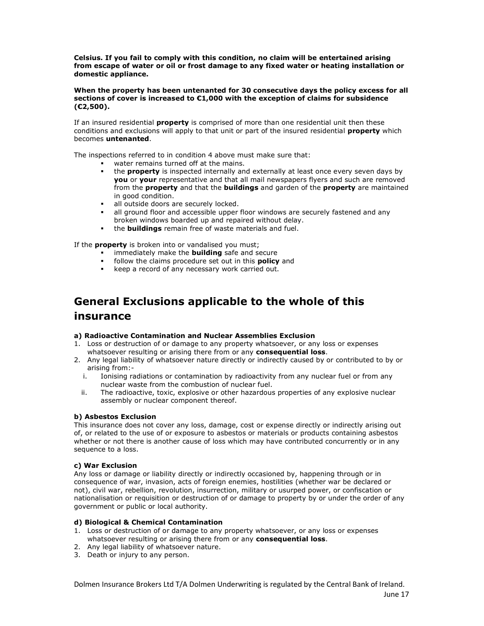Celsius. If you fail to comply with this condition, no claim will be entertained arising from escape of water or oil or frost damage to any fixed water or heating installation or domestic appliance.

#### When the property has been untenanted for 30 consecutive days the policy excess for all sections of cover is increased to €1,000 with the exception of claims for subsidence (€2,500).

If an insured residential **property** is comprised of more than one residential unit then these conditions and exclusions will apply to that unit or part of the insured residential **property** which becomes untenanted.

The inspections referred to in condition 4 above must make sure that:

- water remains turned off at the mains.
- the **property** is inspected internally and externally at least once every seven days by you or your representative and that all mail newspapers flyers and such are removed from the **property** and that the **buildings** and garden of the **property** are maintained in good condition.
- all outside doors are securely locked.
- all ground floor and accessible upper floor windows are securely fastened and any broken windows boarded up and repaired without delay.
- the **buildings** remain free of waste materials and fuel.

If the **property** is broken into or vandalised you must;

- immediately make the **building** safe and secure
- follow the claims procedure set out in this **policy** and
- keep a record of any necessary work carried out.

## General Exclusions applicable to the whole of this insurance

#### a) Radioactive Contamination and Nuclear Assemblies Exclusion

- 1. Loss or destruction of or damage to any property whatsoever, or any loss or expenses whatsoever resulting or arising there from or any consequential loss.
- 2. Any legal liability of whatsoever nature directly or indirectly caused by or contributed to by or arising from:
	- i. Ionising radiations or contamination by radioactivity from any nuclear fuel or from any nuclear waste from the combustion of nuclear fuel.
	- ii. The radioactive, toxic, explosive or other hazardous properties of any explosive nuclear assembly or nuclear component thereof.

#### b) Asbestos Exclusion

This insurance does not cover any loss, damage, cost or expense directly or indirectly arising out of, or related to the use of or exposure to asbestos or materials or products containing asbestos whether or not there is another cause of loss which may have contributed concurrently or in any sequence to a loss.

#### c) War Exclusion

Any loss or damage or liability directly or indirectly occasioned by, happening through or in consequence of war, invasion, acts of foreign enemies, hostilities (whether war be declared or not), civil war, rebellion, revolution, insurrection, military or usurped power, or confiscation or nationalisation or requisition or destruction of or damage to property by or under the order of any government or public or local authority.

#### d) Biological & Chemical Contamination

- 1. Loss or destruction of or damage to any property whatsoever, or any loss or expenses whatsoever resulting or arising there from or any consequential loss.
- 2. Any legal liability of whatsoever nature.
- 3. Death or injury to any person.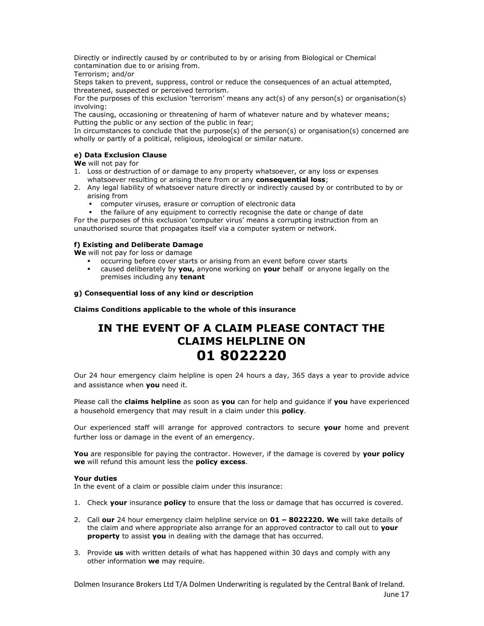Directly or indirectly caused by or contributed to by or arising from Biological or Chemical contamination due to or arising from.

Terrorism; and/or

Steps taken to prevent, suppress, control or reduce the consequences of an actual attempted, threatened, suspected or perceived terrorism.

For the purposes of this exclusion 'terrorism' means any act(s) of any person(s) or organisation(s) involving:

The causing, occasioning or threatening of harm of whatever nature and by whatever means; Putting the public or any section of the public in fear;

In circumstances to conclude that the purpose(s) of the person(s) or organisation(s) concerned are wholly or partly of a political, religious, ideological or similar nature.

#### e) Data Exclusion Clause

We will not pay for

- 1. Loss or destruction of or damage to any property whatsoever, or any loss or expenses whatsoever resulting or arising there from or any consequential loss;
- 2. Any legal liability of whatsoever nature directly or indirectly caused by or contributed to by or arising from
	- computer viruses, erasure or corruption of electronic data
	- the failure of any equipment to correctly recognise the date or change of date

For the purposes of this exclusion 'computer virus' means a corrupting instruction from an unauthorised source that propagates itself via a computer system or network.

#### f) Existing and Deliberate Damage

We will not pay for loss or damage

- occurring before cover starts or arising from an event before cover starts
- caused deliberately by you, anyone working on your behalf or anyone legally on the premises including any tenant

#### g) Consequential loss of any kind or description

Claims Conditions applicable to the whole of this insurance

## IN THE EVENT OF A CLAIM PLEASE CONTACT THE CLAIMS HELPLINE ON 01 8022220

Our 24 hour emergency claim helpline is open 24 hours a day, 365 days a year to provide advice and assistance when **you** need it.

Please call the claims helpline as soon as you can for help and quidance if you have experienced a household emergency that may result in a claim under this **policy**.

Our experienced staff will arrange for approved contractors to secure your home and prevent further loss or damage in the event of an emergency.

You are responsible for paying the contractor. However, if the damage is covered by your policy we will refund this amount less the policy excess.

#### Your duties

In the event of a claim or possible claim under this insurance:

- 1. Check your insurance policy to ensure that the loss or damage that has occurred is covered.
- 2. Call our 24 hour emergency claim helpline service on  $01 8022220$ . We will take details of the claim and where appropriate also arrange for an approved contractor to call out to **your property** to assist you in dealing with the damage that has occurred.
- 3. Provide us with written details of what has happened within 30 days and comply with any other information we may require.

Dolmen Insurance Brokers Ltd T/A Dolmen Underwriting is regulated by the Central Bank of Ireland. June 17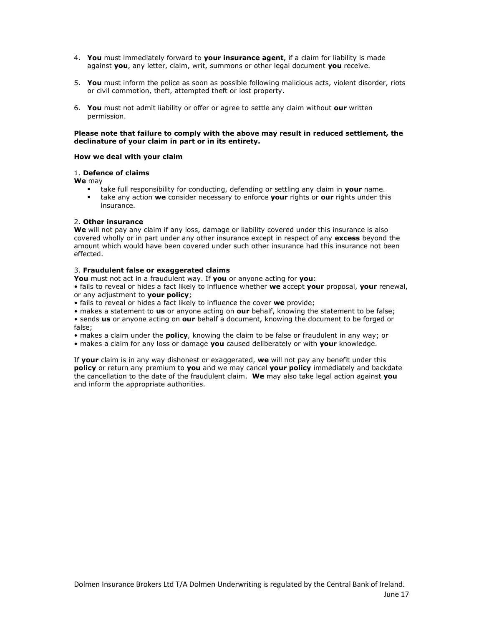- 4. You must immediately forward to your insurance agent, if a claim for liability is made against you, any letter, claim, writ, summons or other legal document you receive.
- 5. You must inform the police as soon as possible following malicious acts, violent disorder, riots or civil commotion, theft, attempted theft or lost property.
- 6. You must not admit liability or offer or agree to settle any claim without our written permission.

#### Please note that failure to comply with the above may result in reduced settlement, the declinature of your claim in part or in its entirety.

#### How we deal with your claim

#### 1. Defence of claims

We may

- take full responsibility for conducting, defending or settling any claim in your name.
- take any action we consider necessary to enforce your rights or our rights under this insurance.

#### 2. Other insurance

We will not pay any claim if any loss, damage or liability covered under this insurance is also covered wholly or in part under any other insurance except in respect of any **excess** beyond the amount which would have been covered under such other insurance had this insurance not been effected.

#### 3. Fraudulent false or exaggerated claims

You must not act in a fraudulent way. If you or anyone acting for you:

• fails to reveal or hides a fact likely to influence whether we accept your proposal, your renewal, or any adjustment to your policy;

• fails to reveal or hides a fact likely to influence the cover we provide:

• makes a statement to us or anyone acting on our behalf, knowing the statement to be false; • sends us or anyone acting on our behalf a document, knowing the document to be forged or false;

• makes a claim under the **policy**, knowing the claim to be false or fraudulent in any way; or

• makes a claim for any loss or damage you caused deliberately or with your knowledge.

If your claim is in any way dishonest or exaggerated, we will not pay any benefit under this policy or return any premium to you and we may cancel your policy immediately and backdate the cancellation to the date of the fraudulent claim. We may also take legal action against you and inform the appropriate authorities.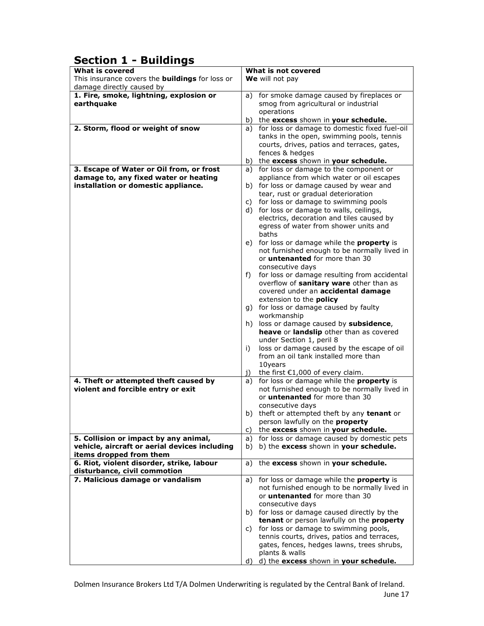## Section 1 - Buildings

| This insurance covers the <b>buildings</b> for loss or<br>We will not pay<br>damage directly caused by<br>1. Fire, smoke, lightning, explosion or<br>a) for smoke damage caused by fireplaces or<br>earthquake<br>smog from agricultural or industrial<br>operations<br>b) the excess shown in your schedule.<br>2. Storm, flood or weight of snow<br>for loss or damage to domestic fixed fuel-oil<br>a)<br>tanks in the open, swimming pools, tennis<br>courts, drives, patios and terraces, gates,<br>fences & hedges<br>the excess shown in your schedule.<br>b)<br>a) for loss or damage to the component or<br>3. Escape of Water or Oil from, or frost<br>damage to, any fixed water or heating<br>appliance from which water or oil escapes<br>installation or domestic appliance.<br>b) for loss or damage caused by wear and<br>tear, rust or gradual deterioration<br>for loss or damage to swimming pools<br>C)<br>d) for loss or damage to walls, ceilings,<br>electrics, decoration and tiles caused by<br>egress of water from shower units and<br>baths<br>e) for loss or damage while the <b>property</b> is<br>not furnished enough to be normally lived in<br>or <i>untenanted</i> for more than 30<br>consecutive days<br>for loss or damage resulting from accidental<br>f)<br>overflow of sanitary ware other than as<br>covered under an accidental damage<br>extension to the <b>policy</b><br>g) for loss or damage caused by faulty<br>workmanship<br>h) loss or damage caused by subsidence,<br>heave or landslip other than as covered<br>under Section 1, peril 8<br>loss or damage caused by the escape of oil<br>i)<br>from an oil tank installed more than<br>10years<br>the first $€1,000$ of every claim.<br>1)<br>for loss or damage while the property is<br>4. Theft or attempted theft caused by<br>a)<br>violent and forcible entry or exit<br>not furnished enough to be normally lived in<br>or <i>untenanted</i> for more than 30<br>consecutive days<br>b) theft or attempted theft by any tenant or<br>person lawfully on the <b>property</b><br>the excess shown in your schedule.<br>C)<br>a) for loss or damage caused by domestic pets<br>5. Collision or impact by any animal,<br>vehicle, aircraft or aerial devices including<br>b) the excess shown in your schedule.<br>b)<br>items dropped from them<br>6. Riot, violent disorder, strike, labour<br>the excess shown in your schedule.<br>a)<br>disturbance, civil commotion<br>7. Malicious damage or vandalism<br>a) for loss or damage while the property is<br>not furnished enough to be normally lived in<br>or <b>untenanted</b> for more than 30<br>consecutive days<br>b) for loss or damage caused directly by the<br>tenant or person lawfully on the property<br>c) for loss or damage to swimming pools,<br>tennis courts, drives, patios and terraces,<br>gates, fences, hedges lawns, trees shrubs, | <b>What is covered</b> | What is not covered |
|---------------------------------------------------------------------------------------------------------------------------------------------------------------------------------------------------------------------------------------------------------------------------------------------------------------------------------------------------------------------------------------------------------------------------------------------------------------------------------------------------------------------------------------------------------------------------------------------------------------------------------------------------------------------------------------------------------------------------------------------------------------------------------------------------------------------------------------------------------------------------------------------------------------------------------------------------------------------------------------------------------------------------------------------------------------------------------------------------------------------------------------------------------------------------------------------------------------------------------------------------------------------------------------------------------------------------------------------------------------------------------------------------------------------------------------------------------------------------------------------------------------------------------------------------------------------------------------------------------------------------------------------------------------------------------------------------------------------------------------------------------------------------------------------------------------------------------------------------------------------------------------------------------------------------------------------------------------------------------------------------------------------------------------------------------------------------------------------------------------------------------------------------------------------------------------------------------------------------------------------------------------------------------------------------------------------------------------------------------------------------------------------------------------------------------------------------------------------------------------------------------------------------------------------------------------------------------------------------------------------------------------------------------------------------------------------------------------------------------------------------------------------------------------------------------------------------------------------------------------------------------------------------------------------------|------------------------|---------------------|
|                                                                                                                                                                                                                                                                                                                                                                                                                                                                                                                                                                                                                                                                                                                                                                                                                                                                                                                                                                                                                                                                                                                                                                                                                                                                                                                                                                                                                                                                                                                                                                                                                                                                                                                                                                                                                                                                                                                                                                                                                                                                                                                                                                                                                                                                                                                                                                                                                                                                                                                                                                                                                                                                                                                                                                                                                                                                                                                           |                        |                     |
|                                                                                                                                                                                                                                                                                                                                                                                                                                                                                                                                                                                                                                                                                                                                                                                                                                                                                                                                                                                                                                                                                                                                                                                                                                                                                                                                                                                                                                                                                                                                                                                                                                                                                                                                                                                                                                                                                                                                                                                                                                                                                                                                                                                                                                                                                                                                                                                                                                                                                                                                                                                                                                                                                                                                                                                                                                                                                                                           |                        |                     |
|                                                                                                                                                                                                                                                                                                                                                                                                                                                                                                                                                                                                                                                                                                                                                                                                                                                                                                                                                                                                                                                                                                                                                                                                                                                                                                                                                                                                                                                                                                                                                                                                                                                                                                                                                                                                                                                                                                                                                                                                                                                                                                                                                                                                                                                                                                                                                                                                                                                                                                                                                                                                                                                                                                                                                                                                                                                                                                                           |                        |                     |
|                                                                                                                                                                                                                                                                                                                                                                                                                                                                                                                                                                                                                                                                                                                                                                                                                                                                                                                                                                                                                                                                                                                                                                                                                                                                                                                                                                                                                                                                                                                                                                                                                                                                                                                                                                                                                                                                                                                                                                                                                                                                                                                                                                                                                                                                                                                                                                                                                                                                                                                                                                                                                                                                                                                                                                                                                                                                                                                           |                        |                     |
|                                                                                                                                                                                                                                                                                                                                                                                                                                                                                                                                                                                                                                                                                                                                                                                                                                                                                                                                                                                                                                                                                                                                                                                                                                                                                                                                                                                                                                                                                                                                                                                                                                                                                                                                                                                                                                                                                                                                                                                                                                                                                                                                                                                                                                                                                                                                                                                                                                                                                                                                                                                                                                                                                                                                                                                                                                                                                                                           |                        |                     |
|                                                                                                                                                                                                                                                                                                                                                                                                                                                                                                                                                                                                                                                                                                                                                                                                                                                                                                                                                                                                                                                                                                                                                                                                                                                                                                                                                                                                                                                                                                                                                                                                                                                                                                                                                                                                                                                                                                                                                                                                                                                                                                                                                                                                                                                                                                                                                                                                                                                                                                                                                                                                                                                                                                                                                                                                                                                                                                                           |                        |                     |
|                                                                                                                                                                                                                                                                                                                                                                                                                                                                                                                                                                                                                                                                                                                                                                                                                                                                                                                                                                                                                                                                                                                                                                                                                                                                                                                                                                                                                                                                                                                                                                                                                                                                                                                                                                                                                                                                                                                                                                                                                                                                                                                                                                                                                                                                                                                                                                                                                                                                                                                                                                                                                                                                                                                                                                                                                                                                                                                           |                        |                     |
|                                                                                                                                                                                                                                                                                                                                                                                                                                                                                                                                                                                                                                                                                                                                                                                                                                                                                                                                                                                                                                                                                                                                                                                                                                                                                                                                                                                                                                                                                                                                                                                                                                                                                                                                                                                                                                                                                                                                                                                                                                                                                                                                                                                                                                                                                                                                                                                                                                                                                                                                                                                                                                                                                                                                                                                                                                                                                                                           |                        |                     |
|                                                                                                                                                                                                                                                                                                                                                                                                                                                                                                                                                                                                                                                                                                                                                                                                                                                                                                                                                                                                                                                                                                                                                                                                                                                                                                                                                                                                                                                                                                                                                                                                                                                                                                                                                                                                                                                                                                                                                                                                                                                                                                                                                                                                                                                                                                                                                                                                                                                                                                                                                                                                                                                                                                                                                                                                                                                                                                                           |                        |                     |
|                                                                                                                                                                                                                                                                                                                                                                                                                                                                                                                                                                                                                                                                                                                                                                                                                                                                                                                                                                                                                                                                                                                                                                                                                                                                                                                                                                                                                                                                                                                                                                                                                                                                                                                                                                                                                                                                                                                                                                                                                                                                                                                                                                                                                                                                                                                                                                                                                                                                                                                                                                                                                                                                                                                                                                                                                                                                                                                           |                        |                     |
|                                                                                                                                                                                                                                                                                                                                                                                                                                                                                                                                                                                                                                                                                                                                                                                                                                                                                                                                                                                                                                                                                                                                                                                                                                                                                                                                                                                                                                                                                                                                                                                                                                                                                                                                                                                                                                                                                                                                                                                                                                                                                                                                                                                                                                                                                                                                                                                                                                                                                                                                                                                                                                                                                                                                                                                                                                                                                                                           |                        |                     |
|                                                                                                                                                                                                                                                                                                                                                                                                                                                                                                                                                                                                                                                                                                                                                                                                                                                                                                                                                                                                                                                                                                                                                                                                                                                                                                                                                                                                                                                                                                                                                                                                                                                                                                                                                                                                                                                                                                                                                                                                                                                                                                                                                                                                                                                                                                                                                                                                                                                                                                                                                                                                                                                                                                                                                                                                                                                                                                                           |                        |                     |
|                                                                                                                                                                                                                                                                                                                                                                                                                                                                                                                                                                                                                                                                                                                                                                                                                                                                                                                                                                                                                                                                                                                                                                                                                                                                                                                                                                                                                                                                                                                                                                                                                                                                                                                                                                                                                                                                                                                                                                                                                                                                                                                                                                                                                                                                                                                                                                                                                                                                                                                                                                                                                                                                                                                                                                                                                                                                                                                           |                        |                     |
|                                                                                                                                                                                                                                                                                                                                                                                                                                                                                                                                                                                                                                                                                                                                                                                                                                                                                                                                                                                                                                                                                                                                                                                                                                                                                                                                                                                                                                                                                                                                                                                                                                                                                                                                                                                                                                                                                                                                                                                                                                                                                                                                                                                                                                                                                                                                                                                                                                                                                                                                                                                                                                                                                                                                                                                                                                                                                                                           |                        |                     |
|                                                                                                                                                                                                                                                                                                                                                                                                                                                                                                                                                                                                                                                                                                                                                                                                                                                                                                                                                                                                                                                                                                                                                                                                                                                                                                                                                                                                                                                                                                                                                                                                                                                                                                                                                                                                                                                                                                                                                                                                                                                                                                                                                                                                                                                                                                                                                                                                                                                                                                                                                                                                                                                                                                                                                                                                                                                                                                                           |                        |                     |
|                                                                                                                                                                                                                                                                                                                                                                                                                                                                                                                                                                                                                                                                                                                                                                                                                                                                                                                                                                                                                                                                                                                                                                                                                                                                                                                                                                                                                                                                                                                                                                                                                                                                                                                                                                                                                                                                                                                                                                                                                                                                                                                                                                                                                                                                                                                                                                                                                                                                                                                                                                                                                                                                                                                                                                                                                                                                                                                           |                        |                     |
|                                                                                                                                                                                                                                                                                                                                                                                                                                                                                                                                                                                                                                                                                                                                                                                                                                                                                                                                                                                                                                                                                                                                                                                                                                                                                                                                                                                                                                                                                                                                                                                                                                                                                                                                                                                                                                                                                                                                                                                                                                                                                                                                                                                                                                                                                                                                                                                                                                                                                                                                                                                                                                                                                                                                                                                                                                                                                                                           |                        |                     |
|                                                                                                                                                                                                                                                                                                                                                                                                                                                                                                                                                                                                                                                                                                                                                                                                                                                                                                                                                                                                                                                                                                                                                                                                                                                                                                                                                                                                                                                                                                                                                                                                                                                                                                                                                                                                                                                                                                                                                                                                                                                                                                                                                                                                                                                                                                                                                                                                                                                                                                                                                                                                                                                                                                                                                                                                                                                                                                                           |                        |                     |
|                                                                                                                                                                                                                                                                                                                                                                                                                                                                                                                                                                                                                                                                                                                                                                                                                                                                                                                                                                                                                                                                                                                                                                                                                                                                                                                                                                                                                                                                                                                                                                                                                                                                                                                                                                                                                                                                                                                                                                                                                                                                                                                                                                                                                                                                                                                                                                                                                                                                                                                                                                                                                                                                                                                                                                                                                                                                                                                           |                        |                     |
|                                                                                                                                                                                                                                                                                                                                                                                                                                                                                                                                                                                                                                                                                                                                                                                                                                                                                                                                                                                                                                                                                                                                                                                                                                                                                                                                                                                                                                                                                                                                                                                                                                                                                                                                                                                                                                                                                                                                                                                                                                                                                                                                                                                                                                                                                                                                                                                                                                                                                                                                                                                                                                                                                                                                                                                                                                                                                                                           |                        |                     |
|                                                                                                                                                                                                                                                                                                                                                                                                                                                                                                                                                                                                                                                                                                                                                                                                                                                                                                                                                                                                                                                                                                                                                                                                                                                                                                                                                                                                                                                                                                                                                                                                                                                                                                                                                                                                                                                                                                                                                                                                                                                                                                                                                                                                                                                                                                                                                                                                                                                                                                                                                                                                                                                                                                                                                                                                                                                                                                                           |                        |                     |
|                                                                                                                                                                                                                                                                                                                                                                                                                                                                                                                                                                                                                                                                                                                                                                                                                                                                                                                                                                                                                                                                                                                                                                                                                                                                                                                                                                                                                                                                                                                                                                                                                                                                                                                                                                                                                                                                                                                                                                                                                                                                                                                                                                                                                                                                                                                                                                                                                                                                                                                                                                                                                                                                                                                                                                                                                                                                                                                           |                        |                     |
|                                                                                                                                                                                                                                                                                                                                                                                                                                                                                                                                                                                                                                                                                                                                                                                                                                                                                                                                                                                                                                                                                                                                                                                                                                                                                                                                                                                                                                                                                                                                                                                                                                                                                                                                                                                                                                                                                                                                                                                                                                                                                                                                                                                                                                                                                                                                                                                                                                                                                                                                                                                                                                                                                                                                                                                                                                                                                                                           |                        |                     |
|                                                                                                                                                                                                                                                                                                                                                                                                                                                                                                                                                                                                                                                                                                                                                                                                                                                                                                                                                                                                                                                                                                                                                                                                                                                                                                                                                                                                                                                                                                                                                                                                                                                                                                                                                                                                                                                                                                                                                                                                                                                                                                                                                                                                                                                                                                                                                                                                                                                                                                                                                                                                                                                                                                                                                                                                                                                                                                                           |                        |                     |
|                                                                                                                                                                                                                                                                                                                                                                                                                                                                                                                                                                                                                                                                                                                                                                                                                                                                                                                                                                                                                                                                                                                                                                                                                                                                                                                                                                                                                                                                                                                                                                                                                                                                                                                                                                                                                                                                                                                                                                                                                                                                                                                                                                                                                                                                                                                                                                                                                                                                                                                                                                                                                                                                                                                                                                                                                                                                                                                           |                        |                     |
|                                                                                                                                                                                                                                                                                                                                                                                                                                                                                                                                                                                                                                                                                                                                                                                                                                                                                                                                                                                                                                                                                                                                                                                                                                                                                                                                                                                                                                                                                                                                                                                                                                                                                                                                                                                                                                                                                                                                                                                                                                                                                                                                                                                                                                                                                                                                                                                                                                                                                                                                                                                                                                                                                                                                                                                                                                                                                                                           |                        |                     |
|                                                                                                                                                                                                                                                                                                                                                                                                                                                                                                                                                                                                                                                                                                                                                                                                                                                                                                                                                                                                                                                                                                                                                                                                                                                                                                                                                                                                                                                                                                                                                                                                                                                                                                                                                                                                                                                                                                                                                                                                                                                                                                                                                                                                                                                                                                                                                                                                                                                                                                                                                                                                                                                                                                                                                                                                                                                                                                                           |                        |                     |
|                                                                                                                                                                                                                                                                                                                                                                                                                                                                                                                                                                                                                                                                                                                                                                                                                                                                                                                                                                                                                                                                                                                                                                                                                                                                                                                                                                                                                                                                                                                                                                                                                                                                                                                                                                                                                                                                                                                                                                                                                                                                                                                                                                                                                                                                                                                                                                                                                                                                                                                                                                                                                                                                                                                                                                                                                                                                                                                           |                        |                     |
|                                                                                                                                                                                                                                                                                                                                                                                                                                                                                                                                                                                                                                                                                                                                                                                                                                                                                                                                                                                                                                                                                                                                                                                                                                                                                                                                                                                                                                                                                                                                                                                                                                                                                                                                                                                                                                                                                                                                                                                                                                                                                                                                                                                                                                                                                                                                                                                                                                                                                                                                                                                                                                                                                                                                                                                                                                                                                                                           |                        |                     |
|                                                                                                                                                                                                                                                                                                                                                                                                                                                                                                                                                                                                                                                                                                                                                                                                                                                                                                                                                                                                                                                                                                                                                                                                                                                                                                                                                                                                                                                                                                                                                                                                                                                                                                                                                                                                                                                                                                                                                                                                                                                                                                                                                                                                                                                                                                                                                                                                                                                                                                                                                                                                                                                                                                                                                                                                                                                                                                                           |                        |                     |
|                                                                                                                                                                                                                                                                                                                                                                                                                                                                                                                                                                                                                                                                                                                                                                                                                                                                                                                                                                                                                                                                                                                                                                                                                                                                                                                                                                                                                                                                                                                                                                                                                                                                                                                                                                                                                                                                                                                                                                                                                                                                                                                                                                                                                                                                                                                                                                                                                                                                                                                                                                                                                                                                                                                                                                                                                                                                                                                           |                        |                     |
|                                                                                                                                                                                                                                                                                                                                                                                                                                                                                                                                                                                                                                                                                                                                                                                                                                                                                                                                                                                                                                                                                                                                                                                                                                                                                                                                                                                                                                                                                                                                                                                                                                                                                                                                                                                                                                                                                                                                                                                                                                                                                                                                                                                                                                                                                                                                                                                                                                                                                                                                                                                                                                                                                                                                                                                                                                                                                                                           |                        |                     |
|                                                                                                                                                                                                                                                                                                                                                                                                                                                                                                                                                                                                                                                                                                                                                                                                                                                                                                                                                                                                                                                                                                                                                                                                                                                                                                                                                                                                                                                                                                                                                                                                                                                                                                                                                                                                                                                                                                                                                                                                                                                                                                                                                                                                                                                                                                                                                                                                                                                                                                                                                                                                                                                                                                                                                                                                                                                                                                                           |                        |                     |
|                                                                                                                                                                                                                                                                                                                                                                                                                                                                                                                                                                                                                                                                                                                                                                                                                                                                                                                                                                                                                                                                                                                                                                                                                                                                                                                                                                                                                                                                                                                                                                                                                                                                                                                                                                                                                                                                                                                                                                                                                                                                                                                                                                                                                                                                                                                                                                                                                                                                                                                                                                                                                                                                                                                                                                                                                                                                                                                           |                        |                     |
|                                                                                                                                                                                                                                                                                                                                                                                                                                                                                                                                                                                                                                                                                                                                                                                                                                                                                                                                                                                                                                                                                                                                                                                                                                                                                                                                                                                                                                                                                                                                                                                                                                                                                                                                                                                                                                                                                                                                                                                                                                                                                                                                                                                                                                                                                                                                                                                                                                                                                                                                                                                                                                                                                                                                                                                                                                                                                                                           |                        |                     |
|                                                                                                                                                                                                                                                                                                                                                                                                                                                                                                                                                                                                                                                                                                                                                                                                                                                                                                                                                                                                                                                                                                                                                                                                                                                                                                                                                                                                                                                                                                                                                                                                                                                                                                                                                                                                                                                                                                                                                                                                                                                                                                                                                                                                                                                                                                                                                                                                                                                                                                                                                                                                                                                                                                                                                                                                                                                                                                                           |                        |                     |
|                                                                                                                                                                                                                                                                                                                                                                                                                                                                                                                                                                                                                                                                                                                                                                                                                                                                                                                                                                                                                                                                                                                                                                                                                                                                                                                                                                                                                                                                                                                                                                                                                                                                                                                                                                                                                                                                                                                                                                                                                                                                                                                                                                                                                                                                                                                                                                                                                                                                                                                                                                                                                                                                                                                                                                                                                                                                                                                           |                        |                     |
|                                                                                                                                                                                                                                                                                                                                                                                                                                                                                                                                                                                                                                                                                                                                                                                                                                                                                                                                                                                                                                                                                                                                                                                                                                                                                                                                                                                                                                                                                                                                                                                                                                                                                                                                                                                                                                                                                                                                                                                                                                                                                                                                                                                                                                                                                                                                                                                                                                                                                                                                                                                                                                                                                                                                                                                                                                                                                                                           |                        |                     |
|                                                                                                                                                                                                                                                                                                                                                                                                                                                                                                                                                                                                                                                                                                                                                                                                                                                                                                                                                                                                                                                                                                                                                                                                                                                                                                                                                                                                                                                                                                                                                                                                                                                                                                                                                                                                                                                                                                                                                                                                                                                                                                                                                                                                                                                                                                                                                                                                                                                                                                                                                                                                                                                                                                                                                                                                                                                                                                                           |                        |                     |
|                                                                                                                                                                                                                                                                                                                                                                                                                                                                                                                                                                                                                                                                                                                                                                                                                                                                                                                                                                                                                                                                                                                                                                                                                                                                                                                                                                                                                                                                                                                                                                                                                                                                                                                                                                                                                                                                                                                                                                                                                                                                                                                                                                                                                                                                                                                                                                                                                                                                                                                                                                                                                                                                                                                                                                                                                                                                                                                           |                        |                     |
|                                                                                                                                                                                                                                                                                                                                                                                                                                                                                                                                                                                                                                                                                                                                                                                                                                                                                                                                                                                                                                                                                                                                                                                                                                                                                                                                                                                                                                                                                                                                                                                                                                                                                                                                                                                                                                                                                                                                                                                                                                                                                                                                                                                                                                                                                                                                                                                                                                                                                                                                                                                                                                                                                                                                                                                                                                                                                                                           |                        |                     |
|                                                                                                                                                                                                                                                                                                                                                                                                                                                                                                                                                                                                                                                                                                                                                                                                                                                                                                                                                                                                                                                                                                                                                                                                                                                                                                                                                                                                                                                                                                                                                                                                                                                                                                                                                                                                                                                                                                                                                                                                                                                                                                                                                                                                                                                                                                                                                                                                                                                                                                                                                                                                                                                                                                                                                                                                                                                                                                                           |                        |                     |
|                                                                                                                                                                                                                                                                                                                                                                                                                                                                                                                                                                                                                                                                                                                                                                                                                                                                                                                                                                                                                                                                                                                                                                                                                                                                                                                                                                                                                                                                                                                                                                                                                                                                                                                                                                                                                                                                                                                                                                                                                                                                                                                                                                                                                                                                                                                                                                                                                                                                                                                                                                                                                                                                                                                                                                                                                                                                                                                           |                        |                     |
|                                                                                                                                                                                                                                                                                                                                                                                                                                                                                                                                                                                                                                                                                                                                                                                                                                                                                                                                                                                                                                                                                                                                                                                                                                                                                                                                                                                                                                                                                                                                                                                                                                                                                                                                                                                                                                                                                                                                                                                                                                                                                                                                                                                                                                                                                                                                                                                                                                                                                                                                                                                                                                                                                                                                                                                                                                                                                                                           |                        |                     |
|                                                                                                                                                                                                                                                                                                                                                                                                                                                                                                                                                                                                                                                                                                                                                                                                                                                                                                                                                                                                                                                                                                                                                                                                                                                                                                                                                                                                                                                                                                                                                                                                                                                                                                                                                                                                                                                                                                                                                                                                                                                                                                                                                                                                                                                                                                                                                                                                                                                                                                                                                                                                                                                                                                                                                                                                                                                                                                                           |                        |                     |
|                                                                                                                                                                                                                                                                                                                                                                                                                                                                                                                                                                                                                                                                                                                                                                                                                                                                                                                                                                                                                                                                                                                                                                                                                                                                                                                                                                                                                                                                                                                                                                                                                                                                                                                                                                                                                                                                                                                                                                                                                                                                                                                                                                                                                                                                                                                                                                                                                                                                                                                                                                                                                                                                                                                                                                                                                                                                                                                           |                        |                     |
|                                                                                                                                                                                                                                                                                                                                                                                                                                                                                                                                                                                                                                                                                                                                                                                                                                                                                                                                                                                                                                                                                                                                                                                                                                                                                                                                                                                                                                                                                                                                                                                                                                                                                                                                                                                                                                                                                                                                                                                                                                                                                                                                                                                                                                                                                                                                                                                                                                                                                                                                                                                                                                                                                                                                                                                                                                                                                                                           |                        |                     |
|                                                                                                                                                                                                                                                                                                                                                                                                                                                                                                                                                                                                                                                                                                                                                                                                                                                                                                                                                                                                                                                                                                                                                                                                                                                                                                                                                                                                                                                                                                                                                                                                                                                                                                                                                                                                                                                                                                                                                                                                                                                                                                                                                                                                                                                                                                                                                                                                                                                                                                                                                                                                                                                                                                                                                                                                                                                                                                                           |                        |                     |
|                                                                                                                                                                                                                                                                                                                                                                                                                                                                                                                                                                                                                                                                                                                                                                                                                                                                                                                                                                                                                                                                                                                                                                                                                                                                                                                                                                                                                                                                                                                                                                                                                                                                                                                                                                                                                                                                                                                                                                                                                                                                                                                                                                                                                                                                                                                                                                                                                                                                                                                                                                                                                                                                                                                                                                                                                                                                                                                           |                        |                     |
|                                                                                                                                                                                                                                                                                                                                                                                                                                                                                                                                                                                                                                                                                                                                                                                                                                                                                                                                                                                                                                                                                                                                                                                                                                                                                                                                                                                                                                                                                                                                                                                                                                                                                                                                                                                                                                                                                                                                                                                                                                                                                                                                                                                                                                                                                                                                                                                                                                                                                                                                                                                                                                                                                                                                                                                                                                                                                                                           |                        |                     |
|                                                                                                                                                                                                                                                                                                                                                                                                                                                                                                                                                                                                                                                                                                                                                                                                                                                                                                                                                                                                                                                                                                                                                                                                                                                                                                                                                                                                                                                                                                                                                                                                                                                                                                                                                                                                                                                                                                                                                                                                                                                                                                                                                                                                                                                                                                                                                                                                                                                                                                                                                                                                                                                                                                                                                                                                                                                                                                                           |                        |                     |
|                                                                                                                                                                                                                                                                                                                                                                                                                                                                                                                                                                                                                                                                                                                                                                                                                                                                                                                                                                                                                                                                                                                                                                                                                                                                                                                                                                                                                                                                                                                                                                                                                                                                                                                                                                                                                                                                                                                                                                                                                                                                                                                                                                                                                                                                                                                                                                                                                                                                                                                                                                                                                                                                                                                                                                                                                                                                                                                           |                        |                     |
|                                                                                                                                                                                                                                                                                                                                                                                                                                                                                                                                                                                                                                                                                                                                                                                                                                                                                                                                                                                                                                                                                                                                                                                                                                                                                                                                                                                                                                                                                                                                                                                                                                                                                                                                                                                                                                                                                                                                                                                                                                                                                                                                                                                                                                                                                                                                                                                                                                                                                                                                                                                                                                                                                                                                                                                                                                                                                                                           |                        |                     |
|                                                                                                                                                                                                                                                                                                                                                                                                                                                                                                                                                                                                                                                                                                                                                                                                                                                                                                                                                                                                                                                                                                                                                                                                                                                                                                                                                                                                                                                                                                                                                                                                                                                                                                                                                                                                                                                                                                                                                                                                                                                                                                                                                                                                                                                                                                                                                                                                                                                                                                                                                                                                                                                                                                                                                                                                                                                                                                                           |                        |                     |
|                                                                                                                                                                                                                                                                                                                                                                                                                                                                                                                                                                                                                                                                                                                                                                                                                                                                                                                                                                                                                                                                                                                                                                                                                                                                                                                                                                                                                                                                                                                                                                                                                                                                                                                                                                                                                                                                                                                                                                                                                                                                                                                                                                                                                                                                                                                                                                                                                                                                                                                                                                                                                                                                                                                                                                                                                                                                                                                           |                        |                     |
|                                                                                                                                                                                                                                                                                                                                                                                                                                                                                                                                                                                                                                                                                                                                                                                                                                                                                                                                                                                                                                                                                                                                                                                                                                                                                                                                                                                                                                                                                                                                                                                                                                                                                                                                                                                                                                                                                                                                                                                                                                                                                                                                                                                                                                                                                                                                                                                                                                                                                                                                                                                                                                                                                                                                                                                                                                                                                                                           |                        |                     |
|                                                                                                                                                                                                                                                                                                                                                                                                                                                                                                                                                                                                                                                                                                                                                                                                                                                                                                                                                                                                                                                                                                                                                                                                                                                                                                                                                                                                                                                                                                                                                                                                                                                                                                                                                                                                                                                                                                                                                                                                                                                                                                                                                                                                                                                                                                                                                                                                                                                                                                                                                                                                                                                                                                                                                                                                                                                                                                                           |                        |                     |
|                                                                                                                                                                                                                                                                                                                                                                                                                                                                                                                                                                                                                                                                                                                                                                                                                                                                                                                                                                                                                                                                                                                                                                                                                                                                                                                                                                                                                                                                                                                                                                                                                                                                                                                                                                                                                                                                                                                                                                                                                                                                                                                                                                                                                                                                                                                                                                                                                                                                                                                                                                                                                                                                                                                                                                                                                                                                                                                           |                        |                     |
|                                                                                                                                                                                                                                                                                                                                                                                                                                                                                                                                                                                                                                                                                                                                                                                                                                                                                                                                                                                                                                                                                                                                                                                                                                                                                                                                                                                                                                                                                                                                                                                                                                                                                                                                                                                                                                                                                                                                                                                                                                                                                                                                                                                                                                                                                                                                                                                                                                                                                                                                                                                                                                                                                                                                                                                                                                                                                                                           |                        |                     |
|                                                                                                                                                                                                                                                                                                                                                                                                                                                                                                                                                                                                                                                                                                                                                                                                                                                                                                                                                                                                                                                                                                                                                                                                                                                                                                                                                                                                                                                                                                                                                                                                                                                                                                                                                                                                                                                                                                                                                                                                                                                                                                                                                                                                                                                                                                                                                                                                                                                                                                                                                                                                                                                                                                                                                                                                                                                                                                                           |                        |                     |
|                                                                                                                                                                                                                                                                                                                                                                                                                                                                                                                                                                                                                                                                                                                                                                                                                                                                                                                                                                                                                                                                                                                                                                                                                                                                                                                                                                                                                                                                                                                                                                                                                                                                                                                                                                                                                                                                                                                                                                                                                                                                                                                                                                                                                                                                                                                                                                                                                                                                                                                                                                                                                                                                                                                                                                                                                                                                                                                           |                        | plants & walls      |
| d) d) the excess shown in your schedule.                                                                                                                                                                                                                                                                                                                                                                                                                                                                                                                                                                                                                                                                                                                                                                                                                                                                                                                                                                                                                                                                                                                                                                                                                                                                                                                                                                                                                                                                                                                                                                                                                                                                                                                                                                                                                                                                                                                                                                                                                                                                                                                                                                                                                                                                                                                                                                                                                                                                                                                                                                                                                                                                                                                                                                                                                                                                                  |                        |                     |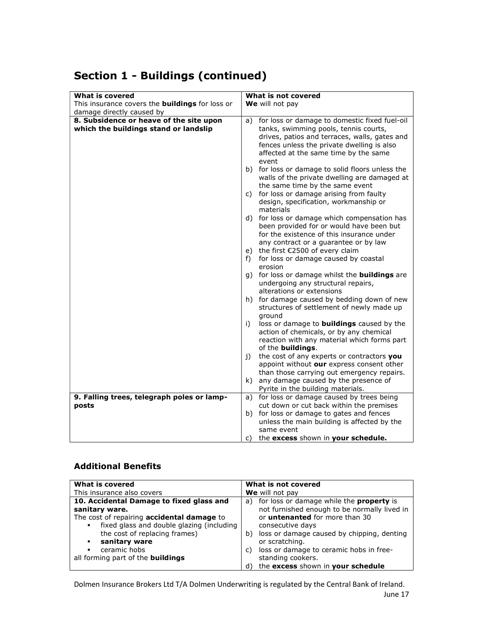## Section 1 - Buildings (continued)

| <b>What is covered</b>                                 | What is not covered                                    |
|--------------------------------------------------------|--------------------------------------------------------|
| This insurance covers the <b>buildings</b> for loss or | We will not pay                                        |
| damage directly caused by                              |                                                        |
| 8. Subsidence or heave of the site upon                | for loss or damage to domestic fixed fuel-oil<br>a)    |
|                                                        |                                                        |
| which the buildings stand or landslip                  | tanks, swimming pools, tennis courts,                  |
|                                                        | drives, patios and terraces, walls, gates and          |
|                                                        | fences unless the private dwelling is also             |
|                                                        | affected at the same time by the same                  |
|                                                        | event                                                  |
|                                                        | b) for loss or damage to solid floors unless the       |
|                                                        | walls of the private dwelling are damaged at           |
|                                                        | the same time by the same event                        |
|                                                        |                                                        |
|                                                        | c) for loss or damage arising from faulty              |
|                                                        | design, specification, workmanship or                  |
|                                                        | materials                                              |
|                                                        | d) for loss or damage which compensation has           |
|                                                        | been provided for or would have been but               |
|                                                        | for the existence of this insurance under              |
|                                                        | any contract or a quarantee or by law                  |
|                                                        | e) the first €2500 of every claim                      |
|                                                        | for loss or damage caused by coastal<br>f)             |
|                                                        | erosion                                                |
|                                                        |                                                        |
|                                                        | g) for loss or damage whilst the <b>buildings</b> are  |
|                                                        | undergoing any structural repairs,                     |
|                                                        | alterations or extensions                              |
|                                                        | h) for damage caused by bedding down of new            |
|                                                        | structures of settlement of newly made up              |
|                                                        | ground                                                 |
|                                                        | loss or damage to <b>buildings</b> caused by the<br>i) |
|                                                        | action of chemicals, or by any chemical                |
|                                                        | reaction with any material which forms part            |
|                                                        | of the <b>buildings</b> .                              |
|                                                        | the cost of any experts or contractors you<br>i)       |
|                                                        |                                                        |
|                                                        | appoint without our express consent other              |
|                                                        | than those carrying out emergency repairs.             |
|                                                        | k) any damage caused by the presence of                |
|                                                        | Pyrite in the building materials.                      |
| 9. Falling trees, telegraph poles or lamp-             | a) for loss or damage caused by trees being            |
| posts                                                  | cut down or cut back within the premises               |
|                                                        | b) for loss or damage to gates and fences              |
|                                                        | unless the main building is affected by the            |
|                                                        | same event                                             |
|                                                        | the excess shown in your schedule.<br>C)               |
|                                                        |                                                        |

#### Additional Benefits

| What is covered                                                                         | What is not covered                                                                                |
|-----------------------------------------------------------------------------------------|----------------------------------------------------------------------------------------------------|
| This insurance also covers                                                              | We will not pay                                                                                    |
| 10. Accidental Damage to fixed glass and<br>sanitary ware.                              | a) for loss or damage while the <b>property</b> is<br>not furnished enough to be normally lived in |
| The cost of repairing accidental damage to<br>fixed glass and double glazing (including | or <b>untenanted</b> for more than 30<br>consecutive days                                          |
| the cost of replacing frames)<br>sanitary ware                                          | loss or damage caused by chipping, denting<br>b)<br>or scratching.                                 |
| ceramic hobs<br>٠<br>all forming part of the <b>buildings</b>                           | loss or damage to ceramic hobs in free-<br>C)<br>standing cookers.                                 |
|                                                                                         | the excess shown in your schedule<br>d)                                                            |

Dolmen Insurance Brokers Ltd T/A Dolmen Underwriting is regulated by the Central Bank of Ireland. June 17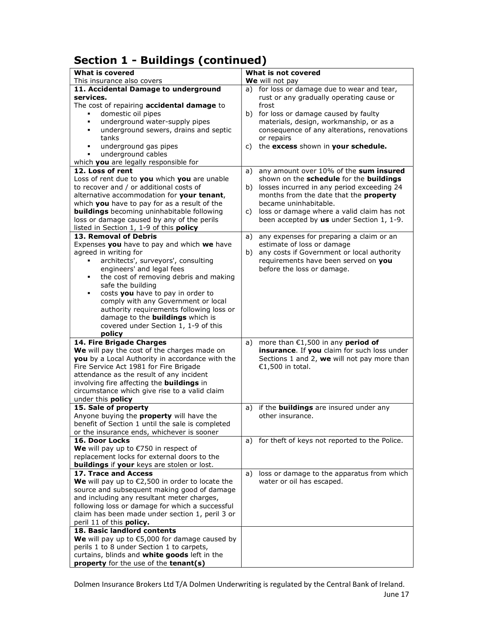## Section 1 - Buildings (continued)

| <b>What is covered</b>                                                                       | What is not covered                                                                     |
|----------------------------------------------------------------------------------------------|-----------------------------------------------------------------------------------------|
| This insurance also covers                                                                   | We will not pay                                                                         |
| 11. Accidental Damage to underground<br>services.                                            | a) for loss or damage due to wear and tear,<br>rust or any gradually operating cause or |
| The cost of repairing accidental damage to                                                   | frost                                                                                   |
| domestic oil pipes                                                                           | b) for loss or damage caused by faulty                                                  |
| underground water-supply pipes<br>٠                                                          | materials, design, workmanship, or as a                                                 |
| underground sewers, drains and septic<br>٠                                                   | consequence of any alterations, renovations                                             |
| tanks                                                                                        | or repairs                                                                              |
| underground gas pipes<br>٠                                                                   | the excess shown in your schedule.<br>C)                                                |
| underground cables<br>٠                                                                      |                                                                                         |
| which you are legally responsible for                                                        |                                                                                         |
| 12. Loss of rent                                                                             | any amount over 10% of the sum insured<br>a)                                            |
| Loss of rent due to you which you are unable<br>to recover and / or additional costs of      | shown on the schedule for the buildings                                                 |
| alternative accommodation for your tenant,                                                   | b) losses incurred in any period exceeding 24<br>months from the date that the property |
| which you have to pay for as a result of the                                                 | became uninhabitable.                                                                   |
| <b>buildings</b> becoming uninhabitable following                                            | c) loss or damage where a valid claim has not                                           |
| loss or damage caused by any of the perils                                                   | been accepted by us under Section 1, 1-9.                                               |
| listed in Section 1, 1-9 of this policy                                                      |                                                                                         |
| 13. Removal of Debris                                                                        | any expenses for preparing a claim or an<br>a)                                          |
| Expenses you have to pay and which we have                                                   | estimate of loss or damage                                                              |
| agreed in writing for                                                                        | any costs if Government or local authority<br>b)                                        |
| architects', surveyors', consulting                                                          | requirements have been served on you                                                    |
| engineers' and legal fees                                                                    | before the loss or damage.                                                              |
| the cost of removing debris and making<br>٠                                                  |                                                                                         |
| safe the building<br>costs you have to pay in order to<br>٠                                  |                                                                                         |
| comply with any Government or local                                                          |                                                                                         |
| authority requirements following loss or                                                     |                                                                                         |
| damage to the <b>buildings</b> which is                                                      |                                                                                         |
| covered under Section 1, 1-9 of this                                                         |                                                                                         |
| policy                                                                                       |                                                                                         |
| 14. Fire Brigade Charges                                                                     | more than $€1,500$ in any period of<br>a)                                               |
| We will pay the cost of the charges made on                                                  | insurance. If you claim for such loss under                                             |
| you by a Local Authority in accordance with the                                              | Sections 1 and 2, we will not pay more than                                             |
| Fire Service Act 1981 for Fire Brigade                                                       | €1,500 in total.                                                                        |
| attendance as the result of any incident<br>involving fire affecting the <b>buildings</b> in |                                                                                         |
| circumstance which give rise to a valid claim                                                |                                                                                         |
| under this <b>policy</b>                                                                     |                                                                                         |
| 15. Sale of property                                                                         | if the <b>buildings</b> are insured under any<br>a)                                     |
| Anyone buying the <b>property</b> will have the                                              | other insurance.                                                                        |
| benefit of Section 1 until the sale is completed                                             |                                                                                         |
| or the insurance ends, whichever is sooner                                                   |                                                                                         |
| 16. Door Locks                                                                               | for theft of keys not reported to the Police.<br>a)                                     |
| We will pay up to $\epsilon$ 750 in respect of                                               |                                                                                         |
| replacement locks for external doors to the                                                  |                                                                                         |
| <b>buildings</b> if your keys are stolen or lost.<br>17. Trace and Access                    | loss or damage to the apparatus from which<br>a)                                        |
| We will pay up to $\epsilon$ 2,500 in order to locate the                                    | water or oil has escaped.                                                               |
| source and subsequent making good of damage                                                  |                                                                                         |
| and including any resultant meter charges,                                                   |                                                                                         |
| following loss or damage for which a successful                                              |                                                                                         |
| claim has been made under section 1, peril 3 or                                              |                                                                                         |
| peril 11 of this policy.                                                                     |                                                                                         |
| 18. Basic landlord contents                                                                  |                                                                                         |
| We will pay up to $$5,000$ for damage caused by                                              |                                                                                         |
| perils 1 to 8 under Section 1 to carpets,                                                    |                                                                                         |
| curtains, blinds and white goods left in the                                                 |                                                                                         |
| property for the use of the tenant(s)                                                        |                                                                                         |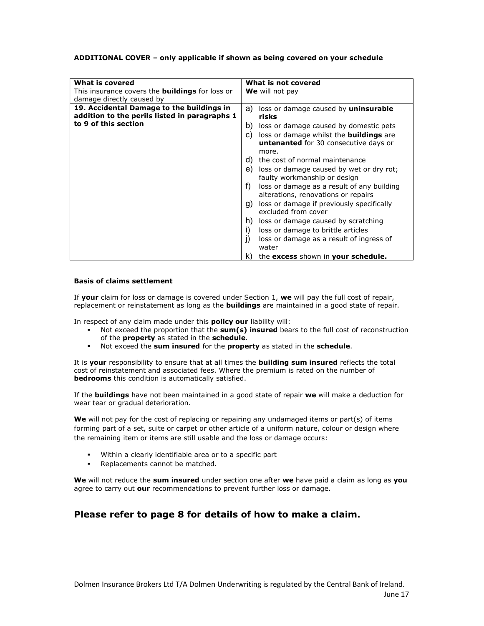#### ADDITIONAL COVER – only applicable if shown as being covered on your schedule

| What is covered                                                                            | What is not covered                                                                                           |
|--------------------------------------------------------------------------------------------|---------------------------------------------------------------------------------------------------------------|
| This insurance covers the <b>buildings</b> for loss or<br>damage directly caused by        | We will not pay                                                                                               |
| 19. Accidental Damage to the buildings in<br>addition to the perils listed in paragraphs 1 | a)<br>loss or damage caused by <b>uninsurable</b><br>risks                                                    |
| to 9 of this section                                                                       | loss or damage caused by domestic pets<br>b)                                                                  |
|                                                                                            | loss or damage whilst the <b>buildings</b> are<br>C)<br><b>untenanted</b> for 30 consecutive days or<br>more. |
|                                                                                            | the cost of normal maintenance<br>d)                                                                          |
|                                                                                            | loss or damage caused by wet or dry rot;<br>e)<br>faulty workmanship or design                                |
|                                                                                            | f)<br>loss or damage as a result of any building<br>alterations, renovations or repairs                       |
|                                                                                            | loss or damage if previously specifically<br>g)<br>excluded from cover                                        |
|                                                                                            | loss or damage caused by scratching<br>h)                                                                     |
|                                                                                            | i)<br>loss or damage to brittle articles                                                                      |
|                                                                                            | j)<br>loss or damage as a result of ingress of<br>water                                                       |
|                                                                                            | the excess shown in your schedule.<br>k)                                                                      |

#### Basis of claims settlement

If your claim for loss or damage is covered under Section 1, we will pay the full cost of repair, replacement or reinstatement as long as the **buildings** are maintained in a good state of repair.

In respect of any claim made under this **policy our** liability will:

- Not exceed the proportion that the  $sum(s)$  insured bears to the full cost of reconstruction of the property as stated in the schedule.
- Not exceed the sum insured for the property as stated in the schedule.

It is your responsibility to ensure that at all times the **building sum insured** reflects the total cost of reinstatement and associated fees. Where the premium is rated on the number of bedrooms this condition is automatically satisfied.

If the **buildings** have not been maintained in a good state of repair we will make a deduction for wear tear or gradual deterioration.

We will not pay for the cost of replacing or repairing any undamaged items or part(s) of items forming part of a set, suite or carpet or other article of a uniform nature, colour or design where the remaining item or items are still usable and the loss or damage occurs:

- Within a clearly identifiable area or to a specific part
- **Replacements cannot be matched.**

We will not reduce the sum insured under section one after we have paid a claim as long as vou agree to carry out our recommendations to prevent further loss or damage.

#### Please refer to page 8 for details of how to make a claim.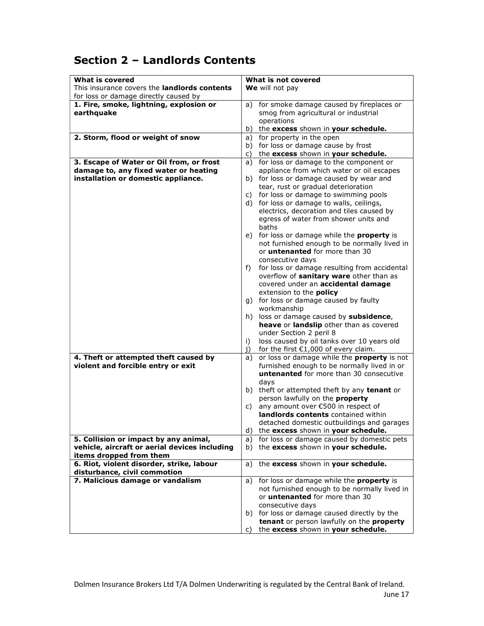## Section 2 – Landlords Contents

| <b>What is covered</b>                              | What is not covered                                      |
|-----------------------------------------------------|----------------------------------------------------------|
| This insurance covers the <b>landlords contents</b> | We will not pay                                          |
| for loss or damage directly caused by               |                                                          |
| 1. Fire, smoke, lightning, explosion or             | a) for smoke damage caused by fireplaces or              |
| earthquake                                          | smog from agricultural or industrial                     |
|                                                     | operations                                               |
|                                                     | the excess shown in your schedule.<br>b)                 |
| 2. Storm, flood or weight of snow                   | a) for property in the open                              |
|                                                     | b) for loss or damage cause by frost                     |
|                                                     | the excess shown in your schedule.<br>C)                 |
| 3. Escape of Water or Oil from, or frost            | for loss or damage to the component or<br>a)             |
| damage to, any fixed water or heating               | appliance from which water or oil escapes                |
| installation or domestic appliance.                 | b) for loss or damage caused by wear and                 |
|                                                     | tear, rust or gradual deterioration                      |
|                                                     | for loss or damage to swimming pools<br>C)               |
|                                                     | d) for loss or damage to walls, ceilings,                |
|                                                     | electrics, decoration and tiles caused by                |
|                                                     | egress of water from shower units and                    |
|                                                     | baths                                                    |
|                                                     | e) for loss or damage while the <b>property</b> is       |
|                                                     | not furnished enough to be normally lived in             |
|                                                     | or <b>untenanted</b> for more than 30                    |
|                                                     | consecutive days                                         |
|                                                     | for loss or damage resulting from accidental<br>f)       |
|                                                     | overflow of sanitary ware other than as                  |
|                                                     | covered under an accidental damage                       |
|                                                     | extension to the <b>policy</b>                           |
|                                                     | g) for loss or damage caused by faulty                   |
|                                                     | workmanship                                              |
|                                                     | h) loss or damage caused by subsidence,                  |
|                                                     | heave or landslip other than as covered                  |
|                                                     | under Section 2 peril 8                                  |
|                                                     | loss caused by oil tanks over 10 years old<br>i)         |
|                                                     | for the first $€1,000$ of every claim.<br>j)             |
| 4. Theft or attempted theft caused by               | or loss or damage while the <b>property</b> is not<br>a) |
| violent and forcible entry or exit                  | furnished enough to be normally lived in or              |
|                                                     | <b>untenanted</b> for more than 30 consecutive           |
|                                                     | days                                                     |
|                                                     | theft or attempted theft by any tenant or<br>b)          |
|                                                     | person lawfully on the property                          |
|                                                     | any amount over €500 in respect of<br>C)                 |
|                                                     | landlords contents contained within                      |
|                                                     | detached domestic outbuildings and garages               |
|                                                     | the excess shown in your schedule.<br>d)                 |
| 5. Collision or impact by any animal,               | for loss or damage caused by domestic pets<br>a)         |
| vehicle, aircraft or aerial devices including       | b) the excess shown in your schedule.                    |
| items dropped from them                             |                                                          |
| 6. Riot, violent disorder, strike, labour           | a) the excess shown in your schedule.                    |
| disturbance, civil commotion                        |                                                          |
| 7. Malicious damage or vandalism                    | for loss or damage while the property is<br>a)           |
|                                                     | not furnished enough to be normally lived in             |
|                                                     | or <i>untenanted</i> for more than 30                    |
|                                                     | consecutive days                                         |
|                                                     | b) for loss or damage caused directly by the             |
|                                                     | tenant or person lawfully on the property                |
|                                                     | the excess shown in your schedule.<br>C)                 |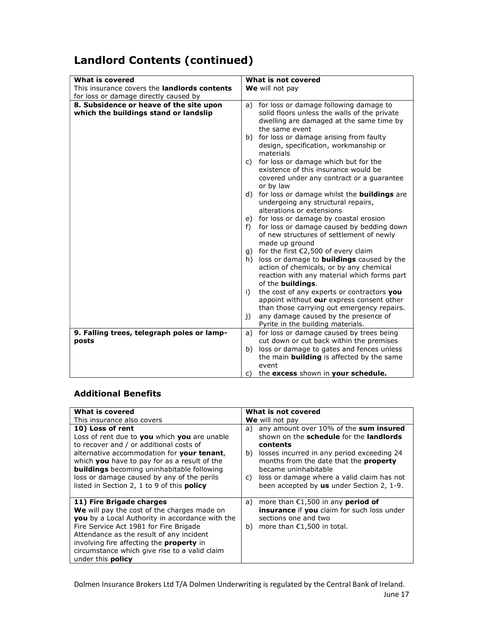## Landlord Contents (continued)

| What is covered                                                                  | What is not covered                                                                                                                                                                                                                              |
|----------------------------------------------------------------------------------|--------------------------------------------------------------------------------------------------------------------------------------------------------------------------------------------------------------------------------------------------|
| This insurance covers the <b>landlords contents</b>                              | We will not pay                                                                                                                                                                                                                                  |
| for loss or damage directly caused by                                            |                                                                                                                                                                                                                                                  |
| 8. Subsidence or heave of the site upon<br>which the buildings stand or landslip | for loss or damage following damage to<br>a)<br>solid floors unless the walls of the private<br>dwelling are damaged at the same time by<br>the same event<br>b) for loss or damage arising from faulty<br>design, specification, workmanship or |
|                                                                                  | materials<br>c) for loss or damage which but for the<br>existence of this insurance would be<br>covered under any contract or a guarantee<br>or by law                                                                                           |
|                                                                                  | d) for loss or damage whilst the <b>buildings</b> are<br>undergoing any structural repairs,<br>alterations or extensions                                                                                                                         |
|                                                                                  | e) for loss or damage by coastal erosion<br>f) for loss or damage caused by bedding down<br>of new structures of settlement of newly<br>made up ground                                                                                           |
|                                                                                  | g) for the first $E2,500$ of every claim<br>h) loss or damage to <b>buildings</b> caused by the<br>action of chemicals, or by any chemical<br>reaction with any material which forms part<br>of the buildings.                                   |
|                                                                                  | the cost of any experts or contractors you<br>i)<br>appoint without our express consent other<br>than those carrying out emergency repairs.<br>any damage caused by the presence of<br>$\mathbf{i}$                                              |
|                                                                                  | Pyrite in the building materials.                                                                                                                                                                                                                |
| 9. Falling trees, telegraph poles or lamp-                                       | a) for loss or damage caused by trees being                                                                                                                                                                                                      |
| posts                                                                            | cut down or cut back within the premises                                                                                                                                                                                                         |
|                                                                                  | b) loss or damage to gates and fences unless                                                                                                                                                                                                     |
|                                                                                  | the main <b>building</b> is affected by the same                                                                                                                                                                                                 |
|                                                                                  | event                                                                                                                                                                                                                                            |
|                                                                                  | the excess shown in your schedule.<br>C)                                                                                                                                                                                                         |

#### Additional Benefits

| What is covered                                                                                                                                                                                                                                                                                                                                                   | What is not covered                                                                                                                                                                                                                                                                                                         |
|-------------------------------------------------------------------------------------------------------------------------------------------------------------------------------------------------------------------------------------------------------------------------------------------------------------------------------------------------------------------|-----------------------------------------------------------------------------------------------------------------------------------------------------------------------------------------------------------------------------------------------------------------------------------------------------------------------------|
|                                                                                                                                                                                                                                                                                                                                                                   |                                                                                                                                                                                                                                                                                                                             |
| This insurance also covers                                                                                                                                                                                                                                                                                                                                        | We will not pay                                                                                                                                                                                                                                                                                                             |
| 10) Loss of rent<br>Loss of rent due to you which you are unable<br>to recover and / or additional costs of<br>alternative accommodation for your tenant,<br>which you have to pay for as a result of the<br><b>buildings</b> becoming uninhabitable following<br>loss or damage caused by any of the perils<br>listed in Section 2, 1 to 9 of this <b>policy</b> | any amount over 10% of the sum insured<br>a)<br>shown on the schedule for the landlords<br>contents<br>b) losses incurred in any period exceeding 24<br>months from the date that the <b>property</b><br>became uninhabitable<br>c) loss or damage where a valid claim has not<br>been accepted by us under Section 2, 1-9. |
| 11) Fire Brigade charges<br>We will pay the cost of the charges made on<br>you by a Local Authority in accordance with the<br>Fire Service Act 1981 for Fire Brigade<br>Attendance as the result of any incident<br>involving fire affecting the <b>property</b> in<br>circumstance which give rise to a valid claim<br>under this <b>policy</b>                  | a) more than $£1,500$ in any <b>period of</b><br><b>insurance</b> if you claim for such loss under<br>sections one and two<br>b) more than $£1,500$ in total.                                                                                                                                                               |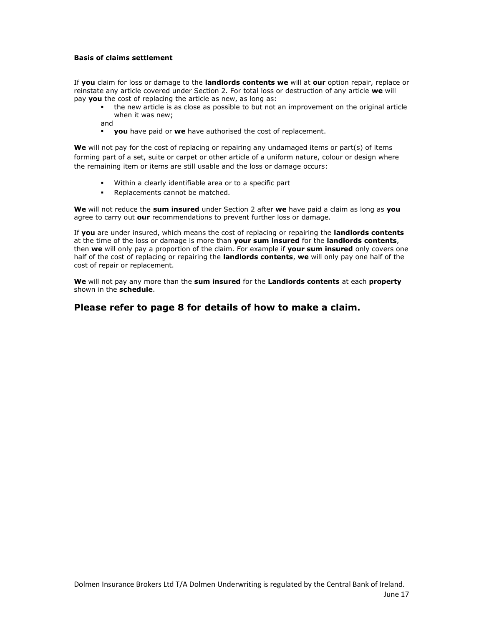#### Basis of claims settlement

If you claim for loss or damage to the landlords contents we will at our option repair, replace or reinstate any article covered under Section 2. For total loss or destruction of any article we will pay you the cost of replacing the article as new, as long as:

 the new article is as close as possible to but not an improvement on the original article when it was new;

and

you have paid or we have authorised the cost of replacement.

We will not pay for the cost of replacing or repairing any undamaged items or part(s) of items forming part of a set, suite or carpet or other article of a uniform nature, colour or design where the remaining item or items are still usable and the loss or damage occurs:

- Within a clearly identifiable area or to a specific part
- Replacements cannot be matched.

We will not reduce the sum insured under Section 2 after we have paid a claim as long as you agree to carry out our recommendations to prevent further loss or damage.

If you are under insured, which means the cost of replacing or repairing the landlords contents at the time of the loss or damage is more than your sum insured for the landlords contents, then we will only pay a proportion of the claim. For example if your sum insured only covers one half of the cost of replacing or repairing the landlords contents, we will only pay one half of the cost of repair or replacement.

We will not pay any more than the sum insured for the Landlords contents at each property shown in the schedule.

#### Please refer to page 8 for details of how to make a claim.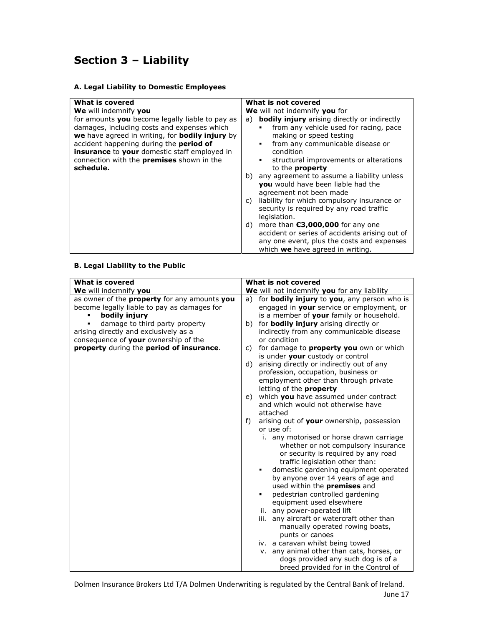## Section 3 – Liability

#### A. Legal Liability to Domestic Employees

| What is covered                                                                                                                                                                                                                                                                                        | What is not covered                                                                                                                                                                                                                                                                                                                                                                                                                                                                                                                                                                                                                                                                              |
|--------------------------------------------------------------------------------------------------------------------------------------------------------------------------------------------------------------------------------------------------------------------------------------------------------|--------------------------------------------------------------------------------------------------------------------------------------------------------------------------------------------------------------------------------------------------------------------------------------------------------------------------------------------------------------------------------------------------------------------------------------------------------------------------------------------------------------------------------------------------------------------------------------------------------------------------------------------------------------------------------------------------|
| We will indemnify you                                                                                                                                                                                                                                                                                  | We will not indemnify you for                                                                                                                                                                                                                                                                                                                                                                                                                                                                                                                                                                                                                                                                    |
| for amounts you become legally liable to pay as<br>damages, including costs and expenses which<br>we have agreed in writing, for bodily injury by<br>accident happening during the period of<br>insurance to your domestic staff employed in<br>connection with the premises shown in the<br>schedule. | <b>bodily injury</b> arising directly or indirectly<br>a)<br>from any vehicle used for racing, pace<br>п<br>making or speed testing<br>from any communicable disease or<br>٠<br>condition<br>structural improvements or alterations<br>٠<br>to the <b>property</b><br>any agreement to assume a liability unless<br>b)<br>you would have been liable had the<br>agreement not been made<br>liability for which compulsory insurance or<br>C)<br>security is required by any road traffic<br>legislation.<br>more than $\epsilon$ 3,000,000 for any one<br>d)<br>accident or series of accidents arising out of<br>any one event, plus the costs and expenses<br>which we have agreed in writing. |

#### B. Legal Liability to the Public

| What is covered<br>We will indemnify you<br>as owner of the property for any amounts you<br>become legally liable to pay as damages for<br>bodily injury<br>damage to third party property<br>arising directly and exclusively as a<br>consequence of your ownership of the<br>property during the period of insurance. | What is not covered<br>We will not indemnify you for any liability<br>for bodily injury to you, any person who is<br>a)<br>engaged in your service or employment, or<br>is a member of your family or household.<br>for bodily injury arising directly or<br>b)<br>indirectly from any communicable disease<br>or condition<br>for damage to property you own or which<br>C)<br>is under your custody or control<br>arising directly or indirectly out of any<br>d)<br>profession, occupation, business or<br>employment other than through private<br>letting of the <b>property</b><br>which you have assumed under contract<br>e)<br>and which would not otherwise have<br>attached<br>arising out of your ownership, possession<br>f)<br>or use of:<br>i. any motorised or horse drawn carriage<br>whether or not compulsory insurance<br>or security is required by any road<br>traffic legislation other than:<br>domestic gardening equipment operated<br>٠<br>by anyone over 14 years of age and<br>used within the <b>premises</b> and<br>pedestrian controlled gardening<br>equipment used elsewhere |
|-------------------------------------------------------------------------------------------------------------------------------------------------------------------------------------------------------------------------------------------------------------------------------------------------------------------------|----------------------------------------------------------------------------------------------------------------------------------------------------------------------------------------------------------------------------------------------------------------------------------------------------------------------------------------------------------------------------------------------------------------------------------------------------------------------------------------------------------------------------------------------------------------------------------------------------------------------------------------------------------------------------------------------------------------------------------------------------------------------------------------------------------------------------------------------------------------------------------------------------------------------------------------------------------------------------------------------------------------------------------------------------------------------------------------------------------------|
|                                                                                                                                                                                                                                                                                                                         |                                                                                                                                                                                                                                                                                                                                                                                                                                                                                                                                                                                                                                                                                                                                                                                                                                                                                                                                                                                                                                                                                                                |
|                                                                                                                                                                                                                                                                                                                         | ii. any power-operated lift<br>iii. any aircraft or watercraft other than                                                                                                                                                                                                                                                                                                                                                                                                                                                                                                                                                                                                                                                                                                                                                                                                                                                                                                                                                                                                                                      |
|                                                                                                                                                                                                                                                                                                                         | manually operated rowing boats,                                                                                                                                                                                                                                                                                                                                                                                                                                                                                                                                                                                                                                                                                                                                                                                                                                                                                                                                                                                                                                                                                |
|                                                                                                                                                                                                                                                                                                                         | punts or canoes                                                                                                                                                                                                                                                                                                                                                                                                                                                                                                                                                                                                                                                                                                                                                                                                                                                                                                                                                                                                                                                                                                |
|                                                                                                                                                                                                                                                                                                                         | iv. a caravan whilst being towed                                                                                                                                                                                                                                                                                                                                                                                                                                                                                                                                                                                                                                                                                                                                                                                                                                                                                                                                                                                                                                                                               |
|                                                                                                                                                                                                                                                                                                                         | v. any animal other than cats, horses, or                                                                                                                                                                                                                                                                                                                                                                                                                                                                                                                                                                                                                                                                                                                                                                                                                                                                                                                                                                                                                                                                      |
|                                                                                                                                                                                                                                                                                                                         | dogs provided any such dog is of a                                                                                                                                                                                                                                                                                                                                                                                                                                                                                                                                                                                                                                                                                                                                                                                                                                                                                                                                                                                                                                                                             |
|                                                                                                                                                                                                                                                                                                                         | breed provided for in the Control of                                                                                                                                                                                                                                                                                                                                                                                                                                                                                                                                                                                                                                                                                                                                                                                                                                                                                                                                                                                                                                                                           |

Dolmen Insurance Brokers Ltd T/A Dolmen Underwriting is regulated by the Central Bank of Ireland. June 17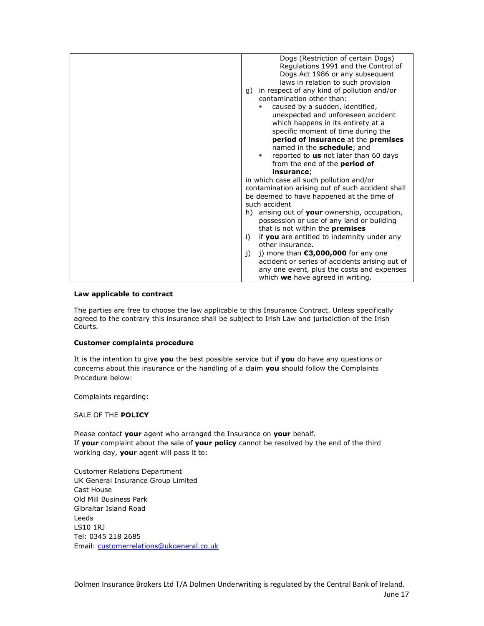| Dogs (Restriction of certain Dogs)                  |
|-----------------------------------------------------|
| Regulations 1991 and the Control of                 |
| Dogs Act 1986 or any subsequent                     |
| laws in relation to such provision                  |
| in respect of any kind of pollution and/or<br>q)    |
| contamination other than:                           |
| caused by a sudden, identified,                     |
| unexpected and unforeseen accident                  |
| which happens in its entirety at a                  |
| specific moment of time during the                  |
| period of insurance at the premises                 |
| named in the schedule; and                          |
| reported to us not later than 60 days<br>٠          |
| from the end of the <b>period of</b>                |
| insurance;                                          |
| in which case all such pollution and/or             |
| contamination arising out of such accident shall    |
| be deemed to have happened at the time of           |
| such accident                                       |
| arising out of your ownership, occupation,<br>h)    |
| possession or use of any land or building           |
| that is not within the <b>premises</b>              |
| if you are entitled to indemnity under any<br>i)    |
| other insurance.                                    |
| j) more than $\epsilon$ 3,000,000 for any one<br>j) |
| accident or series of accidents arising out of      |
| any one event, plus the costs and expenses          |
| which we have agreed in writing.                    |

#### Law applicable to contract

The parties are free to choose the law applicable to this Insurance Contract. Unless specifically agreed to the contrary this insurance shall be subject to Irish Law and jurisdiction of the Irish Courts.

#### Customer complaints procedure

It is the intention to give you the best possible service but if you do have any questions or concerns about this insurance or the handling of a claim you should follow the Complaints Procedure below:

Complaints regarding:

#### SALE OF THE POLICY

Please contact your agent who arranged the Insurance on your behalf. If your complaint about the sale of your policy cannot be resolved by the end of the third working day, your agent will pass it to:

Customer Relations Department UK General Insurance Group Limited Cast House Old Mill Business Park Gibraltar Island Road Leeds LS10 1RJ Tel: 0345 218 2685 Email: customerrelations@ukgeneral.co.uk